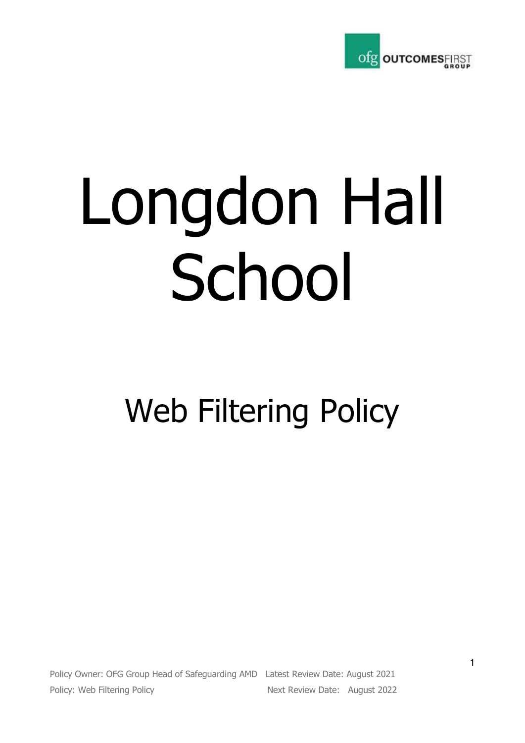

# Longdon Hall School

# Web Filtering Policy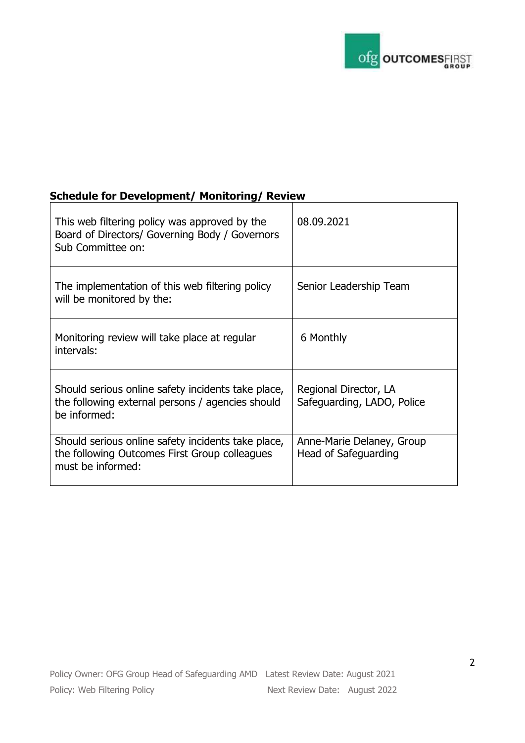

## **Schedule for Development/ Monitoring/ Review**

| This web filtering policy was approved by the<br>Board of Directors/ Governing Body / Governors<br>Sub Committee on:     | 08.09.2021                                          |
|--------------------------------------------------------------------------------------------------------------------------|-----------------------------------------------------|
| The implementation of this web filtering policy<br>will be monitored by the:                                             | Senior Leadership Team                              |
| Monitoring review will take place at regular<br>intervals:                                                               | 6 Monthly                                           |
| Should serious online safety incidents take place,<br>the following external persons / agencies should<br>be informed:   | Regional Director, LA<br>Safeguarding, LADO, Police |
| Should serious online safety incidents take place,<br>the following Outcomes First Group colleagues<br>must be informed: | Anne-Marie Delaney, Group<br>Head of Safeguarding   |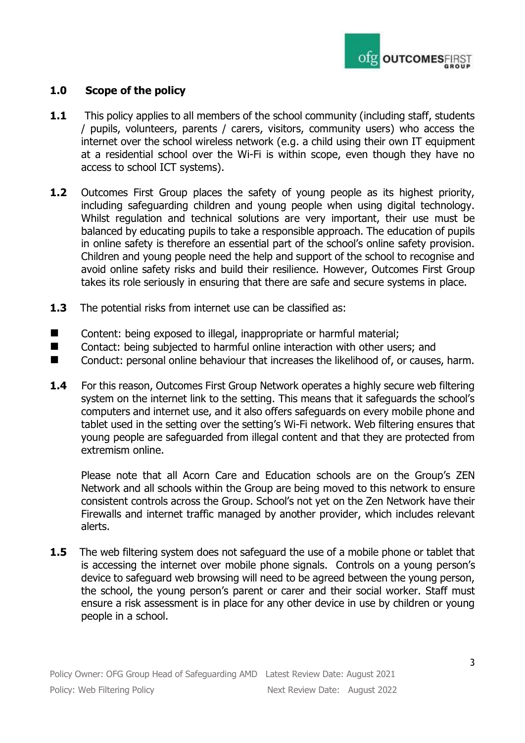

### **1.0 Scope of the policy**

- **1.1** This policy applies to all members of the school community (including staff, students / pupils, volunteers, parents / carers, visitors, community users) who access the internet over the school wireless network (e.g. a child using their own IT equipment at a residential school over the Wi-Fi is within scope, even though they have no access to school ICT systems).
- **1.2** Outcomes First Group places the safety of young people as its highest priority, including safeguarding children and young people when using digital technology. Whilst regulation and technical solutions are very important, their use must be balanced by educating pupils to take a responsible approach. The education of pupils in online safety is therefore an essential part of the school's online safety provision. Children and young people need the help and support of the school to recognise and avoid online safety risks and build their resilience. However, Outcomes First Group takes its role seriously in ensuring that there are safe and secure systems in place.
- **1.3** The potential risks from internet use can be classified as:
- Content: being exposed to illegal, inappropriate or harmful material;
- Contact: being subjected to harmful online interaction with other users; and
- Conduct: personal online behaviour that increases the likelihood of, or causes, harm.
- **1.4** For this reason, Outcomes First Group Network operates a highly secure web filtering system on the internet link to the setting. This means that it safeguards the school's computers and internet use, and it also offers safeguards on every mobile phone and tablet used in the setting over the setting's Wi-Fi network. Web filtering ensures that young people are safeguarded from illegal content and that they are protected from extremism online.

Please note that all Acorn Care and Education schools are on the Group's ZEN Network and all schools within the Group are being moved to this network to ensure consistent controls across the Group. School's not yet on the Zen Network have their Firewalls and internet traffic managed by another provider, which includes relevant alerts.

**1.5** The web filtering system does not safeguard the use of a mobile phone or tablet that is accessing the internet over mobile phone signals. Controls on a young person's device to safeguard web browsing will need to be agreed between the young person, the school, the young person's parent or carer and their social worker. Staff must ensure a risk assessment is in place for any other device in use by children or young people in a school.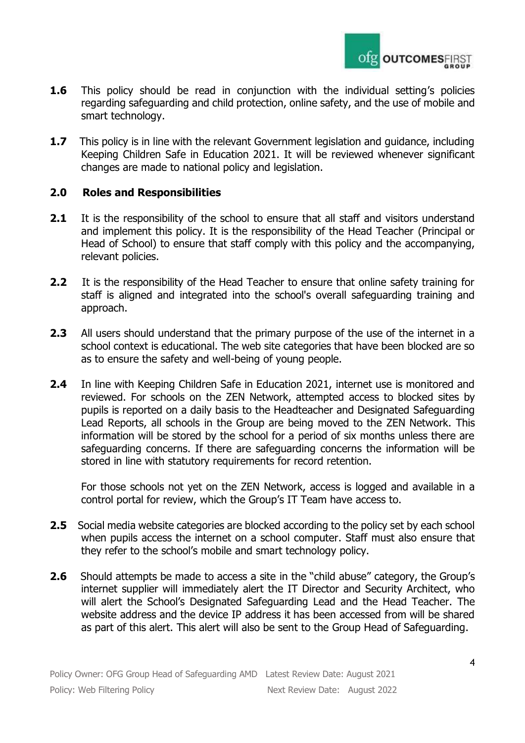

- **1.6** This policy should be read in conjunction with the individual setting's policies regarding safeguarding and child protection, online safety, and the use of mobile and smart technology.
- **1.7** This policy is in line with the relevant Government legislation and guidance, including Keeping Children Safe in Education 2021. It will be reviewed whenever significant changes are made to national policy and legislation.

#### **2.0 Roles and Responsibilities**

- **2.1** It is the responsibility of the school to ensure that all staff and visitors understand and implement this policy. It is the responsibility of the Head Teacher (Principal or Head of School) to ensure that staff comply with this policy and the accompanying, relevant policies.
- **2.2** It is the responsibility of the Head Teacher to ensure that online safety training for staff is aligned and integrated into the school's overall safeguarding training and approach.
- **2.3** All users should understand that the primary purpose of the use of the internet in a school context is educational. The web site categories that have been blocked are so as to ensure the safety and well-being of young people.
- **2.4** In line with Keeping Children Safe in Education 2021, internet use is monitored and reviewed. For schools on the ZEN Network, attempted access to blocked sites by pupils is reported on a daily basis to the Headteacher and Designated Safeguarding Lead Reports, all schools in the Group are being moved to the ZEN Network. This information will be stored by the school for a period of six months unless there are safeguarding concerns. If there are safeguarding concerns the information will be stored in line with statutory requirements for record retention.

For those schools not yet on the ZEN Network, access is logged and available in a control portal for review, which the Group's IT Team have access to.

- **2.5** Social media website categories are blocked according to the policy set by each school when pupils access the internet on a school computer. Staff must also ensure that they refer to the school's mobile and smart technology policy.
- **2.6** Should attempts be made to access a site in the "child abuse" category, the Group's internet supplier will immediately alert the IT Director and Security Architect, who will alert the School's Designated Safeguarding Lead and the Head Teacher. The website address and the device IP address it has been accessed from will be shared as part of this alert. This alert will also be sent to the Group Head of Safeguarding.